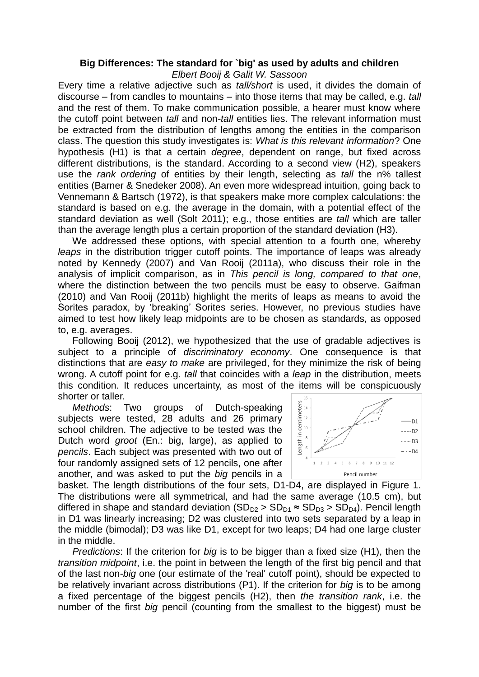## **Big Differences: The standard for `big' as used by adults and children**

*Elbert Booij & Galit W. Sassoon*

Every time a relative adjective such as *tall/short* is used, it divides the domain of discourse – from candles to mountains – into those items that may be called, e.g. *tall* and the rest of them. To make communication possible, a hearer must know where the cutoff point between *tall* and non*-tall* entities lies. The relevant information must be extracted from the distribution of lengths among the entities in the comparison class. The question this study investigates is: *What is this relevant information*? One hypothesis (H1) is that a certain *degree*, dependent on range, but fixed across different distributions, is the standard. According to a second view (H2), speakers use the *rank ordering* of entities by their length, selecting as *tall* the n% tallest entities (Barner & Snedeker 2008). An even more widespread intuition, going back to Vennemann & Bartsch (1972), is that speakers make more complex calculations: the standard is based on e.g. the average in the domain, with a potential effect of the standard deviation as well (Solt 2011); e.g., those entities are *tall* which are taller than the average length plus a certain proportion of the standard deviation (H3).

We addressed these options, with special attention to a fourth one, whereby *leaps* in the distribution trigger cutoff points. The importance of leaps was already noted by Kennedy (2007) and Van Rooij (2011a), who discuss their role in the analysis of implicit comparison, as in *This pencil is long, compared to that one*, where the distinction between the two pencils must be easy to observe. Gaifman (2010) and Van Rooij (2011b) highlight the merits of leaps as means to avoid the Sorites paradox, by 'breaking' Sorites series. However, no previous studies have aimed to test how likely leap midpoints are to be chosen as standards, as opposed to, e.g. averages.

Following Booij (2012), we hypothesized that the use of gradable adjectives is subject to a principle of *discriminatory economy*. One consequence is that distinctions that are *easy to make* are privileged, for they minimize the risk of being wrong. A cutoff point for e.g. *tall* that coincides with a *leap* in the distribution, meets this condition. It reduces uncertainty, as most of the items will be conspicuously shorter or taller.  $16$ 

*Methods*: Two groups of Dutch-speaking subjects were tested, 28 adults and 26 primary school children. The adjective to be tested was the Dutch word *groot* (En.: big, large), as applied to *pencils*. Each subject was presented with two out of four randomly assigned sets of 12 pencils, one after another, and was asked to put the *big* pencils in a



basket. The length distributions of the four sets, D1-D4, are displayed in Figure 1. The distributions were all symmetrical, and had the same average (10.5 cm), but differed in shape and standard deviation  $(SD_{D2} > SD_{D1} \approx SD_{D3} > SD_{D4})$ . Pencil length in D1 was linearly increasing; D2 was clustered into two sets separated by a leap in the middle (bimodal); D3 was like D1, except for two leaps; D4 had one large cluster in the middle.

*Predictions*: If the criterion for *big* is to be bigger than a fixed size (H1), then the *transition midpoint*, i.e. the point in between the length of the first big pencil and that of the last non-*big* one (our estimate of the 'real' cutoff point), should be expected to be relatively invariant across distributions (P1). If the criterion for *big* is to be among a fixed percentage of the biggest pencils (H2), then *the transition rank*, i.e. the number of the first *big* pencil (counting from the smallest to the biggest) must be